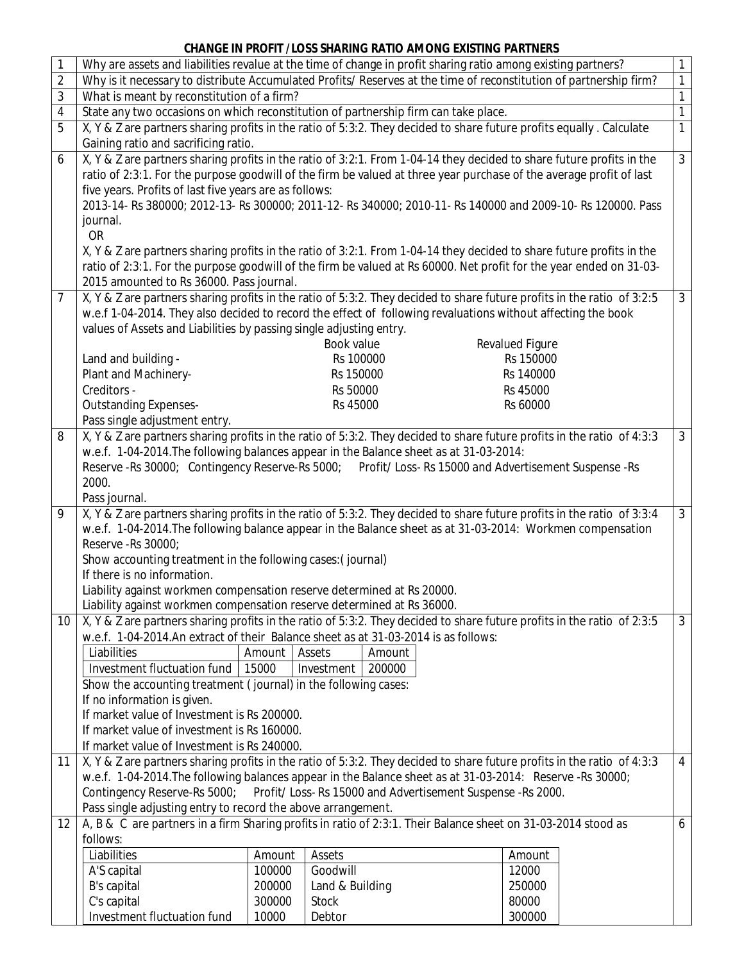## **CHANGE IN PROFIT /LOSS SHARING RATIO AMONG EXISTING PARTNERS**

| 1              | Why are assets and liabilities revalue at the time of change in profit sharing ratio among existing partners?<br>$\mathbf{1}$                                                                                     |        |                      |                      |  |   |  |  |  |  |
|----------------|-------------------------------------------------------------------------------------------------------------------------------------------------------------------------------------------------------------------|--------|----------------------|----------------------|--|---|--|--|--|--|
| 2              | Why is it necessary to distribute Accumulated Profits/ Reserves at the time of reconstitution of partnership firm?<br>$\mathbf{1}$                                                                                |        |                      |                      |  |   |  |  |  |  |
| 3              | $\mathbf{1}$<br>What is meant by reconstitution of a firm?                                                                                                                                                        |        |                      |                      |  |   |  |  |  |  |
| 4              | $\overline{1}$<br>State any two occasions on which reconstitution of partnership firm can take place.                                                                                                             |        |                      |                      |  |   |  |  |  |  |
| 5              | X, Y & Z are partners sharing profits in the ratio of 5:3:2. They decided to share future profits equally. Calculate<br>$\overline{1}$                                                                            |        |                      |                      |  |   |  |  |  |  |
|                | Gaining ratio and sacrificing ratio.                                                                                                                                                                              |        |                      |                      |  |   |  |  |  |  |
| 6              | $\overline{3}$<br>X, Y & Z are partners sharing profits in the ratio of 3:2:1. From 1-04-14 they decided to share future profits in the                                                                           |        |                      |                      |  |   |  |  |  |  |
|                | ratio of 2:3:1. For the purpose goodwill of the firm be valued at three year purchase of the average profit of last                                                                                               |        |                      |                      |  |   |  |  |  |  |
|                | five years. Profits of last five years are as follows:                                                                                                                                                            |        |                      |                      |  |   |  |  |  |  |
|                | 2013-14- Rs 380000; 2012-13- Rs 300000; 2011-12- Rs 340000; 2010-11- Rs 140000 and 2009-10- Rs 120000. Pass                                                                                                       |        |                      |                      |  |   |  |  |  |  |
|                | journal.                                                                                                                                                                                                          |        |                      |                      |  |   |  |  |  |  |
|                | <b>OR</b>                                                                                                                                                                                                         |        |                      |                      |  |   |  |  |  |  |
|                | X, Y & Z are partners sharing profits in the ratio of 3:2:1. From 1-04-14 they decided to share future profits in the                                                                                             |        |                      |                      |  |   |  |  |  |  |
|                | ratio of 2:3:1. For the purpose goodwill of the firm be valued at Rs 60000. Net profit for the year ended on 31-03-                                                                                               |        |                      |                      |  |   |  |  |  |  |
|                | 2015 amounted to Rs 36000. Pass journal.                                                                                                                                                                          |        |                      |                      |  |   |  |  |  |  |
| $\overline{7}$ | X, Y & Z are partners sharing profits in the ratio of 5:3:2. They decided to share future profits in the ratio of 3:2:5<br>$\mathbf{3}$                                                                           |        |                      |                      |  |   |  |  |  |  |
|                | w.e.f 1-04-2014. They also decided to record the effect of following revaluations without affecting the book                                                                                                      |        |                      |                      |  |   |  |  |  |  |
|                | values of Assets and Liabilities by passing single adjusting entry.                                                                                                                                               |        |                      |                      |  |   |  |  |  |  |
|                |                                                                                                                                                                                                                   |        | Book value           | Revalued Figure      |  |   |  |  |  |  |
|                | Land and building -                                                                                                                                                                                               |        | Rs 100000            | Rs 150000            |  |   |  |  |  |  |
|                | Plant and Machinery-<br>Creditors -                                                                                                                                                                               |        | Rs 150000            | Rs 140000            |  |   |  |  |  |  |
|                | <b>Outstanding Expenses-</b>                                                                                                                                                                                      |        | Rs 50000<br>Rs 45000 | Rs 45000<br>Rs 60000 |  |   |  |  |  |  |
|                |                                                                                                                                                                                                                   |        |                      |                      |  |   |  |  |  |  |
| 8              | Pass single adjustment entry.<br>$\mathbf{3}$                                                                                                                                                                     |        |                      |                      |  |   |  |  |  |  |
|                | X, Y & Z are partners sharing profits in the ratio of 5:3:2. They decided to share future profits in the ratio of 4:3:3<br>w.e.f. 1-04-2014. The following balances appear in the Balance sheet as at 31-03-2014: |        |                      |                      |  |   |  |  |  |  |
|                | Reserve - Rs 30000; Contingency Reserve-Rs 5000; Profit/ Loss-Rs 15000 and Advertisement Suspense - Rs                                                                                                            |        |                      |                      |  |   |  |  |  |  |
|                | 2000.                                                                                                                                                                                                             |        |                      |                      |  |   |  |  |  |  |
|                | Pass journal.                                                                                                                                                                                                     |        |                      |                      |  |   |  |  |  |  |
| 9              | X, Y & Z are partners sharing profits in the ratio of 5:3:2. They decided to share future profits in the ratio of 3:3:4<br>$\mathbf{3}$                                                                           |        |                      |                      |  |   |  |  |  |  |
|                | w.e.f. 1-04-2014. The following balance appear in the Balance sheet as at 31-03-2014: Workmen compensation                                                                                                        |        |                      |                      |  |   |  |  |  |  |
|                | Reserve - Rs 30000;                                                                                                                                                                                               |        |                      |                      |  |   |  |  |  |  |
|                | Show accounting treatment in the following cases: (journal)                                                                                                                                                       |        |                      |                      |  |   |  |  |  |  |
|                | If there is no information.                                                                                                                                                                                       |        |                      |                      |  |   |  |  |  |  |
|                | Liability against workmen compensation reserve determined at Rs 20000.                                                                                                                                            |        |                      |                      |  |   |  |  |  |  |
|                | Liability against workmen compensation reserve determined at Rs 36000.                                                                                                                                            |        |                      |                      |  |   |  |  |  |  |
| 10             | X, Y & Z are partners sharing profits in the ratio of 5:3:2. They decided to share future profits in the ratio of 2:3:5<br>$\mathbf{3}$                                                                           |        |                      |                      |  |   |  |  |  |  |
|                | w.e.f. 1-04-2014.An extract of their Balance sheet as at 31-03-2014 is as follows:                                                                                                                                |        |                      |                      |  |   |  |  |  |  |
|                | Liabilities                                                                                                                                                                                                       | Amount | Assets<br>Amount     |                      |  |   |  |  |  |  |
|                | Investment fluctuation fund<br>15000<br>200000<br>Investment                                                                                                                                                      |        |                      |                      |  |   |  |  |  |  |
|                | Show the accounting treatment (journal) in the following cases:<br>If no information is given.                                                                                                                    |        |                      |                      |  |   |  |  |  |  |
|                | If market value of Investment is Rs 200000.                                                                                                                                                                       |        |                      |                      |  |   |  |  |  |  |
|                | If market value of investment is Rs 160000.<br>If market value of Investment is Rs 240000.                                                                                                                        |        |                      |                      |  |   |  |  |  |  |
|                |                                                                                                                                                                                                                   |        |                      |                      |  |   |  |  |  |  |
| 11             | X, Y & Z are partners sharing profits in the ratio of 5:3:2. They decided to share future profits in the ratio of 4:3:3<br>$\overline{4}$                                                                         |        |                      |                      |  |   |  |  |  |  |
|                | w.e.f. 1-04-2014. The following balances appear in the Balance sheet as at 31-03-2014: Reserve -Rs 30000;                                                                                                         |        |                      |                      |  |   |  |  |  |  |
|                | Profit/ Loss-Rs 15000 and Advertisement Suspense -Rs 2000.<br>Contingency Reserve-Rs 5000;                                                                                                                        |        |                      |                      |  |   |  |  |  |  |
|                | Pass single adjusting entry to record the above arrangement.                                                                                                                                                      |        |                      |                      |  |   |  |  |  |  |
| 12             | A, B & C are partners in a firm Sharing profits in ratio of 2:3:1. Their Balance sheet on 31-03-2014 stood as                                                                                                     |        |                      |                      |  | 6 |  |  |  |  |
|                | follows:                                                                                                                                                                                                          |        |                      |                      |  |   |  |  |  |  |
|                | Liabilities                                                                                                                                                                                                       | Amount | Assets               | Amount               |  |   |  |  |  |  |
|                | A'S capital                                                                                                                                                                                                       | 100000 | Goodwill             | 12000                |  |   |  |  |  |  |
|                | B's capital                                                                                                                                                                                                       | 200000 | Land & Building      | 250000               |  |   |  |  |  |  |
|                | C's capital                                                                                                                                                                                                       | 300000 | <b>Stock</b>         | 80000                |  |   |  |  |  |  |
|                | Investment fluctuation fund                                                                                                                                                                                       | 10000  | Debtor               | 300000               |  |   |  |  |  |  |